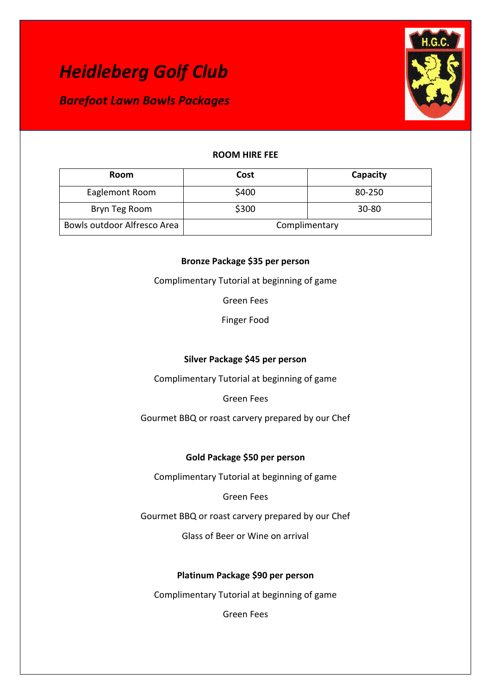*Barefoot Lawn Bowls Packages* 



# **ROOM HIRE FEE**

| Room                        | Cost          | Capacity  |
|-----------------------------|---------------|-----------|
| Eaglemont Room              | \$400         | 80-250    |
| Bryn Teg Room               | \$300         | $30 - 80$ |
| Bowls outdoor Alfresco Area | Complimentary |           |

# **Bronze Package \$35 per person**

Complimentary Tutorial at beginning of game

Green Fees

Finger Food

# **Silver Package \$45 per person**

Complimentary Tutorial at beginning of game

Green Fees

Gourmet BBQ or roast carvery prepared by our Chef

# **Gold Package \$50 per person**

Complimentary Tutorial at beginning of game

Green Fees

Gourmet BBQ or roast carvery prepared by our Chef

Glass of Beer or Wine on arrival

# **Platinum Package \$90 per person**

Complimentary Tutorial at beginning of game

Green Fees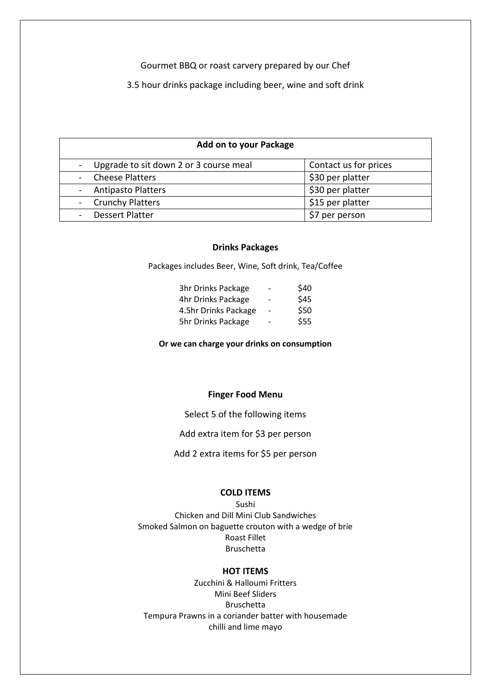### Gourmet BBQ or roast carvery prepared by our Chef

3.5 hour drinks package including beer, wine and soft drink

### **Add on to your Package**

| - Upgrade to sit down 2 or 3 course meal | Contact us for prices |
|------------------------------------------|-----------------------|
| - Cheese Platters                        | \$30 per platter      |
| - Antipasto Platters                     | \$30 per platter      |
| - Crunchy Platters                       | \$15 per platter      |
| - Dessert Platter                        | \$7 per person        |

### **Drinks Packages**

Packages includes Beer, Wine, Soft drink, Tea/Coffee

| 3hr Drinks Package   | -                        | \$40 |
|----------------------|--------------------------|------|
| 4hr Drinks Package   | -                        | \$45 |
| 4.5hr Drinks Package | $\overline{\phantom{a}}$ | \$50 |
| 5hr Drinks Package   |                          | \$55 |

**Or we can charge your drinks on consumption**

## **Finger Food Menu**

Select 5 of the following items

Add extra item for \$3 per person

Add 2 extra items for \$5 per person

#### **COLD ITEMS**

Sushi Chicken and Dill Mini Club Sandwiches Smoked Salmon on baguette crouton with a wedge of brie Roast Fillet Bruschetta

### **HOT ITEMS**

Zucchini & Halloumi Fritters Mini Beef Sliders Bruschetta Tempura Prawns in a coriander batter with housemade chilli and lime mayo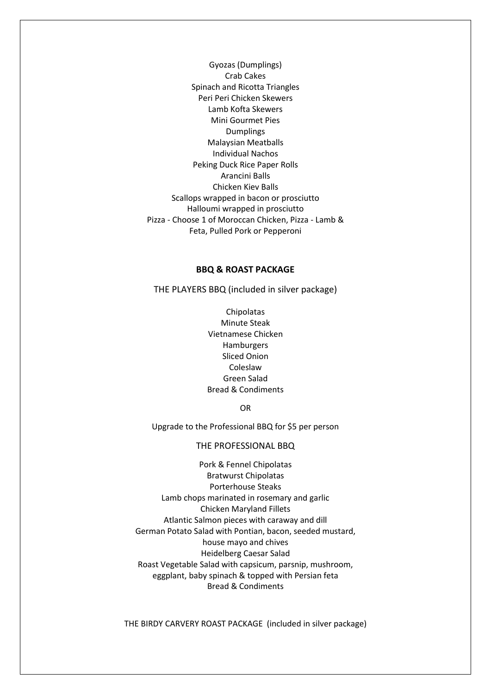Gyozas (Dumplings) Crab Cakes Spinach and Ricotta Triangles Peri Peri Chicken Skewers Lamb Kofta Skewers Mini Gourmet Pies **Dumplings** Malaysian Meatballs Individual Nachos Peking Duck Rice Paper Rolls Arancini Balls Chicken Kiev Balls Scallops wrapped in bacon or prosciutto Halloumi wrapped in prosciutto Pizza - Choose 1 of Moroccan Chicken, Pizza - Lamb & Feta, Pulled Pork or Pepperoni

#### **BBQ & ROAST PACKAGE**

THE PLAYERS BBQ (included in silver package)

**Chipolatas** Minute Steak Vietnamese Chicken Hamburgers Sliced Onion Coleslaw Green Salad Bread & Condiments

OR

Upgrade to the Professional BBQ for \$5 per person

### THE PROFESSIONAL BBQ

Pork & Fennel Chipolatas Bratwurst Chipolatas Porterhouse Steaks Lamb chops marinated in rosemary and garlic Chicken Maryland Fillets Atlantic Salmon pieces with caraway and dill German Potato Salad with Pontian, bacon, seeded mustard, house mayo and chives Heidelberg Caesar Salad Roast Vegetable Salad with capsicum, parsnip, mushroom, eggplant, baby spinach & topped with Persian feta Bread & Condiments

THE BIRDY CARVERY ROAST PACKAGE (included in silver package)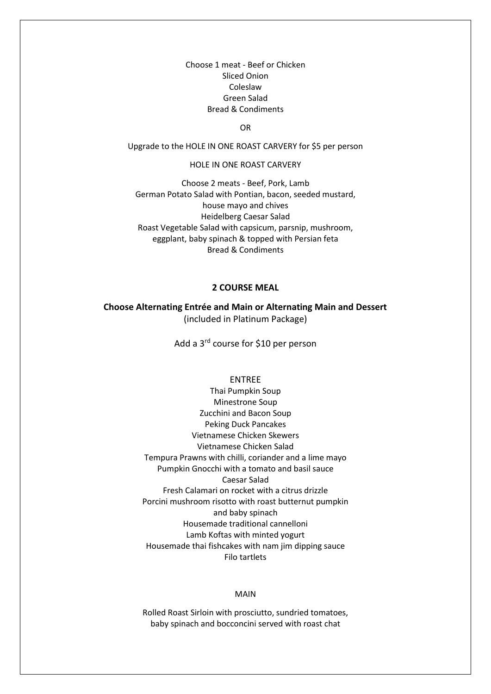Choose 1 meat - Beef or Chicken Sliced Onion Coleslaw Green Salad Bread & Condiments

OR

Upgrade to the HOLE IN ONE ROAST CARVERY for \$5 per person

#### HOLE IN ONE ROAST CARVERY

Choose 2 meats - Beef, Pork, Lamb German Potato Salad with Pontian, bacon, seeded mustard, house mayo and chives Heidelberg Caesar Salad Roast Vegetable Salad with capsicum, parsnip, mushroom, eggplant, baby spinach & topped with Persian feta Bread & Condiments

### **2 COURSE MEAL**

**Choose Alternating Entrée and Main or Alternating Main and Dessert**  (included in Platinum Package)

Add a 3rd course for \$10 per person

#### ENTREE

Thai Pumpkin Soup Minestrone Soup Zucchini and Bacon Soup Peking Duck Pancakes Vietnamese Chicken Skewers Vietnamese Chicken Salad Tempura Prawns with chilli, coriander and a lime mayo Pumpkin Gnocchi with a tomato and basil sauce Caesar Salad Fresh Calamari on rocket with a citrus drizzle Porcini mushroom risotto with roast butternut pumpkin and baby spinach Housemade traditional cannelloni Lamb Koftas with minted yogurt Housemade thai fishcakes with nam jim dipping sauce Filo tartlets

#### MAIN

Rolled Roast Sirloin with prosciutto, sundried tomatoes, baby spinach and bocconcini served with roast chat